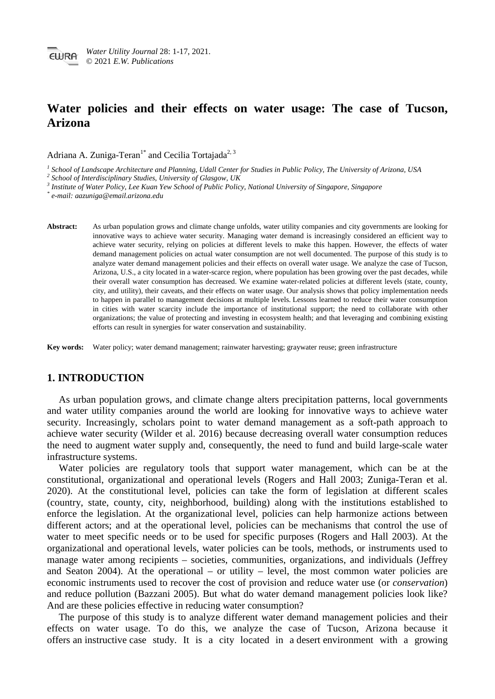# **Water policies and their effects on water usage: The case of Tucson, Arizona**

Adriana A. Zuniga-Teran<sup>1\*</sup> and Cecilia Tortajada<sup>2, 3</sup>

<sup>1</sup> School of Landscape Architecture and Planning, Udall Center for Studies in Public Policy, The University of Arizona, USA<br><sup>2</sup> School of Interdisciplinary Studies, University of Glasgow, UK<br><sup>3</sup> Institute of Water Policy

*\* e-mail: aazuniga@email.arizona.edu*

**Abstract:** As urban population grows and climate change unfolds, water utility companies and city governments are looking for innovative ways to achieve water security. Managing water demand is increasingly considered an efficient way to achieve water security, relying on policies at different levels to make this happen. However, the effects of water demand management policies on actual water consumption are not well documented. The purpose of this study is to analyze water demand management policies and their effects on overall water usage. We analyze the case of Tucson, Arizona, U.S., a city located in a water-scarce region, where population has been growing over the past decades, while their overall water consumption has decreased. We examine water-related policies at different levels (state, county, city, and utility), their caveats, and their effects on water usage. Our analysis shows that policy implementation needs to happen in parallel to management decisions at multiple levels. Lessons learned to reduce their water consumption in cities with water scarcity include the importance of institutional support; the need to collaborate with other organizations; the value of protecting and investing in ecosystem health; and that leveraging and combining existing efforts can result in synergies for water conservation and sustainability.

**Key words:** Water policy; water demand management; rainwater harvesting; graywater reuse; green infrastructure

# **1. INTRODUCTION**

As urban population grows, and climate change alters precipitation patterns, local governments and water utility companies around the world are looking for innovative ways to achieve water security. Increasingly, scholars point to water demand management as a soft-path approach to achieve water security (Wilder et al. 2016) because decreasing overall water consumption reduces the need to augment water supply and, consequently, the need to fund and build large-scale water infrastructure systems.

Water policies are regulatory tools that support water management, which can be at the constitutional, organizational and operational levels (Rogers and Hall 2003; Zuniga-Teran et al. 2020). At the constitutional level, policies can take the form of legislation at different scales (country, state, county, city, neighborhood, building) along with the institutions established to enforce the legislation. At the organizational level, policies can help harmonize actions between different actors; and at the operational level, policies can be mechanisms that control the use of water to meet specific needs or to be used for specific purposes (Rogers and Hall 2003). At the organizational and operational levels, water policies can be tools, methods, or instruments used to manage water among recipients – societies, communities, organizations, and individuals (Jeffrey and Seaton 2004). At the operational – or utility – level, the most common water policies are economic instruments used to recover the cost of provision and reduce water use (or *conservation*) and reduce pollution (Bazzani 2005). But what do water demand management policies look like? And are these policies effective in reducing water consumption?

The purpose of this study is to analyze different water demand management policies and their effects on water usage. To do this, we analyze the case of Tucson, Arizona because it offers an instructive case study. It is a city located in a desert environment with a growing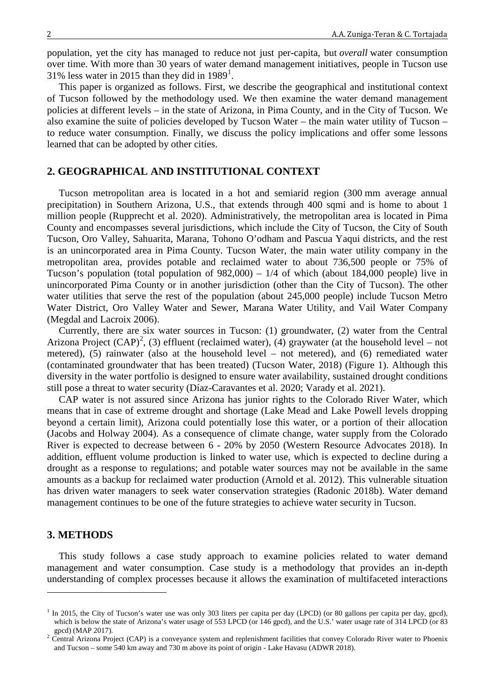population, yet the city has managed to reduce not just per-capita, but *overall* water consumption over time. With more than 30 years of water demand management initiatives, people in Tucson use 3[1](#page-1-0)% less water in 2015 than they did in  $1989<sup>1</sup>$ .

This paper is organized as follows. First, we describe the geographical and institutional context of Tucson followed by the methodology used. We then examine the water demand management policies at different levels – in the state of Arizona, in Pima County, and in the City of Tucson. We also examine the suite of policies developed by Tucson Water – the main water utility of Tucson – to reduce water consumption. Finally, we discuss the policy implications and offer some lessons learned that can be adopted by other cities.

# **2. GEOGRAPHICAL AND INSTITUTIONAL CONTEXT**

Tucson metropolitan area is located in a hot and semiarid region (300 mm average annual precipitation) in Southern Arizona, U.S., that extends through 400 sqmi and is home to about 1 million people (Rupprecht et al. 2020). Administratively, the metropolitan area is located in Pima County and encompasses several jurisdictions, which include the City of Tucson, the City of South Tucson, Oro Valley, Sahuarita, Marana, Tohono O'odham and Pascua Yaqui districts, and the rest is an unincorporated area in Pima County. Tucson Water, the main water utility company in the metropolitan area, provides potable and reclaimed water to about 736,500 people or 75% of Tucson's population (total population of 982,000) – 1/4 of which (about 184,000 people) live in unincorporated Pima County or in another jurisdiction (other than the City of Tucson). The other water utilities that serve the rest of the population (about 245,000 people) include Tucson Metro Water District, Oro Valley Water and Sewer, Marana Water Utility, and Vail Water Company (Megdal and Lacroix 2006).

Currently, there are six water sources in Tucson: (1) groundwater, (2) water from the Central Arizona Project  $(CAP)^2$  $(CAP)^2$ , (3) effluent (reclaimed water), (4) graywater (at the household level – not metered), (5) rainwater (also at the household level – not metered), and (6) remediated water (contaminated groundwater that has been treated) (Tucson Water, 2018) (Figure 1). Although this diversity in the water portfolio is designed to ensure water availability, sustained drought conditions still pose a threat to water security (Díaz-Caravantes et al. 2020; Varady et al. 2021).

CAP water is not assured since Arizona has junior rights to the Colorado River Water, which means that in case of extreme drought and shortage (Lake Mead and Lake Powell levels dropping beyond a certain limit), Arizona could potentially lose this water, or a portion of their allocation (Jacobs and Holway 2004). As a consequence of climate change, water supply from the Colorado River is expected to decrease between 6 - 20% by 2050 (Western Resource Advocates 2018). In addition, effluent volume production is linked to water use, which is expected to decline during a drought as a response to regulations; and potable water sources may not be available in the same amounts as a backup for reclaimed water production (Arnold et al. 2012). This vulnerable situation has driven water managers to seek water conservation strategies (Radonic 2018b). Water demand management continues to be one of the future strategies to achieve water security in Tucson.

# **3. METHODS**

-

This study follows a case study approach to examine policies related to water demand management and water consumption. Case study is a methodology that provides an in-depth understanding of complex processes because it allows the examination of multifaceted interactions

<span id="page-1-0"></span> $1$  In 2015, the City of Tucson's water use was only 303 liters per capita per day (LPCD) (or 80 gallons per capita per day, gpcd), which is below the state of Arizona's water usage of 553 LPCD (or 146 gpcd), and the U.S.' water usage rate of 314 LPCD (or 83

<span id="page-1-1"></span>gpcd) (MAP 2017). <sup>2</sup> Central Arizona Project (CAP) is a conveyance system and replenishment facilities that convey Colorado River water to Phoenix and Tucson – some 540 km away and 730 m above its point of origin - Lake Havasu (ADWR 2018).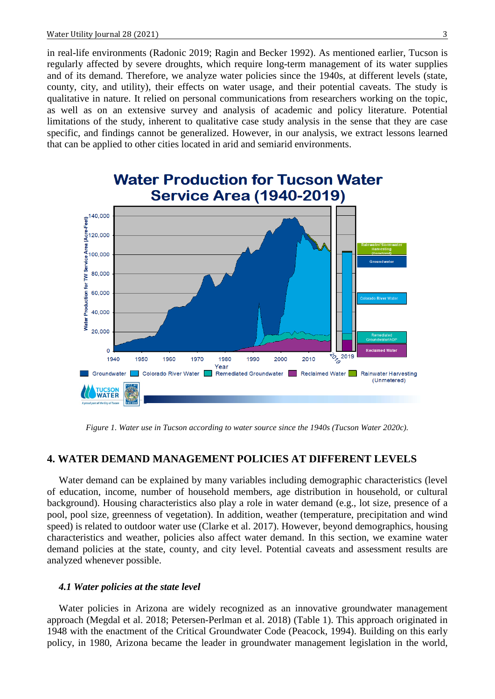in real-life environments (Radonic 2019; Ragin and Becker 1992). As mentioned earlier, Tucson is regularly affected by severe droughts, which require long-term management of its water supplies and of its demand. Therefore, we analyze water policies since the 1940s, at different levels (state, county, city, and utility), their effects on water usage, and their potential caveats. The study is qualitative in nature. It relied on personal communications from researchers working on the topic, as well as on an extensive survey and analysis of academic and policy literature. Potential limitations of the study, inherent to qualitative case study analysis in the sense that they are case specific, and findings cannot be generalized. However, in our analysis, we extract lessons learned that can be applied to other cities located in arid and semiarid environments.



*Figure 1. Water use in Tucson according to water source since the 1940s (Tucson Water 2020c).*

# **4. WATER DEMAND MANAGEMENT POLICIES AT DIFFERENT LEVELS**

Water demand can be explained by many variables including demographic characteristics (level of education, income, number of household members, age distribution in household, or cultural background). Housing characteristics also play a role in water demand (e.g., lot size, presence of a pool, pool size, greenness of vegetation). In addition, weather (temperature, precipitation and wind speed) is related to outdoor water use (Clarke et al. 2017). However, beyond demographics, housing characteristics and weather, policies also affect water demand. In this section, we examine water demand policies at the state, county, and city level. Potential caveats and assessment results are analyzed whenever possible.

#### *4.1 Water policies at the state level*

Water policies in Arizona are widely recognized as an innovative groundwater management approach (Megdal et al. 2018; Petersen-Perlman et al. 2018) (Table 1). This approach originated in 1948 with the enactment of the Critical Groundwater Code (Peacock, 1994). Building on this early policy, in 1980, Arizona became the leader in groundwater management legislation in the world,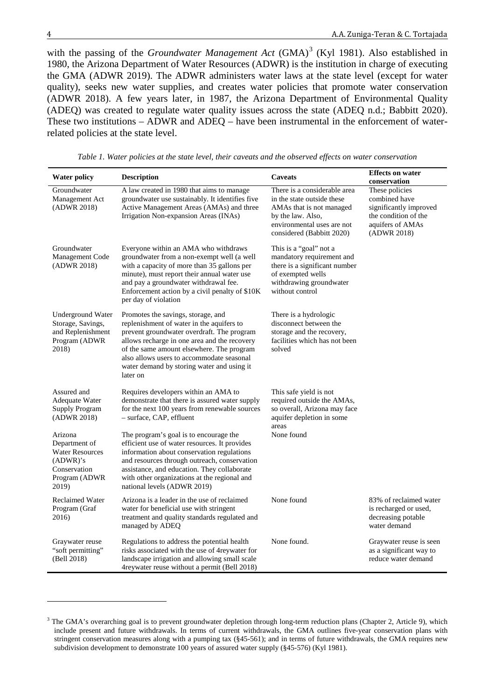<u>.</u>

with the passing of the *Groundwater Management Act*  $(GMA)^3$  $(GMA)^3$  (Kyl 1981). Also established in 1980, the Arizona Department of Water Resources (ADWR) is the institution in charge of executing the GMA (ADWR 2019). The ADWR administers water laws at the state level (except for water quality), seeks new water supplies, and creates water policies that promote water conservation (ADWR 2018). A few years later, in 1987, the Arizona Department of Environmental Quality (ADEQ) was created to regulate water quality issues across the state (ADEQ n.d.; Babbitt 2020). These two institutions – ADWR and ADEQ – have been instrumental in the enforcement of waterrelated policies at the state level.

| <b>Water policy</b>                                                                                      | <b>Description</b>                                                                                                                                                                                                                                                                                                                | <b>Caveats</b>                                                                                                                                                         | <b>Effects on water</b><br>conservation                                                                              |
|----------------------------------------------------------------------------------------------------------|-----------------------------------------------------------------------------------------------------------------------------------------------------------------------------------------------------------------------------------------------------------------------------------------------------------------------------------|------------------------------------------------------------------------------------------------------------------------------------------------------------------------|----------------------------------------------------------------------------------------------------------------------|
| Groundwater<br>Management Act<br>(ADWR 2018)                                                             | A law created in 1980 that aims to manage<br>groundwater use sustainably. It identifies five<br>Active Management Areas (AMAs) and three<br>Irrigation Non-expansion Areas (INAs)                                                                                                                                                 | There is a considerable area<br>in the state outside these<br>AMAs that is not managed<br>by the law. Also,<br>environmental uses are not<br>considered (Babbitt 2020) | These policies<br>combined have<br>significantly improved<br>the condition of the<br>aquifers of AMAs<br>(ADWR 2018) |
| Groundwater<br>Management Code<br>(ADWR 2018)                                                            | Everyone within an AMA who withdraws<br>groundwater from a non-exempt well (a well<br>with a capacity of more than 35 gallons per<br>minute), must report their annual water use<br>and pay a groundwater withdrawal fee.<br>Enforcement action by a civil penalty of \$10K<br>per day of violation                               | This is a "goal" not a<br>mandatory requirement and<br>there is a significant number<br>of exempted wells<br>withdrawing groundwater<br>without control                |                                                                                                                      |
| <b>Underground Water</b><br>Storage, Savings,<br>and Replenishment<br>Program (ADWR<br>2018)             | Promotes the savings, storage, and<br>replenishment of water in the aquifers to<br>prevent groundwater overdraft. The program<br>allows recharge in one area and the recovery<br>of the same amount elsewhere. The program<br>also allows users to accommodate seasonal<br>water demand by storing water and using it<br>later on | There is a hydrologic<br>disconnect between the<br>storage and the recovery,<br>facilities which has not been<br>solved                                                |                                                                                                                      |
| Assured and<br>Adequate Water<br><b>Supply Program</b><br>(ADWR 2018)                                    | Requires developers within an AMA to<br>demonstrate that there is assured water supply<br>for the next 100 years from renewable sources<br>- surface, CAP, effluent                                                                                                                                                               | This safe yield is not<br>required outside the AMAs,<br>so overall, Arizona may face<br>aquifer depletion in some<br>areas                                             |                                                                                                                      |
| Arizona<br>Department of<br><b>Water Resources</b><br>(ADWR)'s<br>Conservation<br>Program (ADWR<br>2019) | The program's goal is to encourage the<br>efficient use of water resources. It provides<br>information about conservation regulations<br>and resources through outreach, conservation<br>assistance, and education. They collaborate<br>with other organizations at the regional and<br>national levels (ADWR 2019)               | None found                                                                                                                                                             |                                                                                                                      |
| <b>Reclaimed Water</b><br>Program (Graf<br>2016)                                                         | Arizona is a leader in the use of reclaimed<br>water for beneficial use with stringent<br>treatment and quality standards regulated and<br>managed by ADEQ                                                                                                                                                                        | None found                                                                                                                                                             | 83% of reclaimed water<br>is recharged or used,<br>decreasing potable<br>water demand                                |
| Graywater reuse<br>"soft permitting"<br>(Bell 2018)                                                      | Regulations to address the potential health<br>risks associated with the use of 4reywater for<br>landscape irrigation and allowing small scale<br>4 reywater reuse without a permit (Bell 2018)                                                                                                                                   | None found.                                                                                                                                                            | Graywater reuse is seen<br>as a significant way to<br>reduce water demand                                            |

*Table 1. Water policies at the state level, their caveats and the observed effects on water conservation*

<span id="page-3-0"></span><sup>&</sup>lt;sup>3</sup> The GMA's overarching goal is to prevent groundwater depletion through long-term reduction plans (Chapter 2, Article 9), which include present and future withdrawals. In terms of current withdrawals, the GMA outlines five-year conservation plans with stringent conservation measures along with a pumping tax (§45-561); and in terms of future withdrawals, the GMA requires new subdivision development to demonstrate 100 years of assured water supply (§45-576) (Kyl 1981).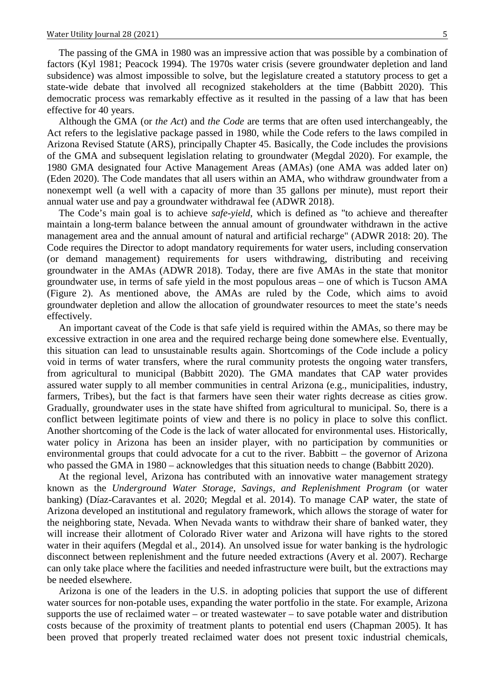The passing of the GMA in 1980 was an impressive action that was possible by a combination of factors (Kyl 1981; Peacock 1994). The 1970s water crisis (severe groundwater depletion and land subsidence) was almost impossible to solve, but the legislature created a statutory process to get a state-wide debate that involved all recognized stakeholders at the time (Babbitt 2020). This democratic process was remarkably effective as it resulted in the passing of a law that has been effective for 40 years.

Although the GMA (or *the Act*) and *the Code* are terms that are often used interchangeably, the Act refers to the legislative package passed in 1980, while the Code refers to the laws compiled in Arizona Revised Statute (ARS), principally Chapter 45. Basically, the Code includes the provisions of the GMA and subsequent legislation relating to groundwater (Megdal 2020). For example, the 1980 GMA designated four Active Management Areas (AMAs) (one AMA was added later on) (Eden 2020). The Code mandates that all users within an AMA, who withdraw groundwater from a nonexempt well (a well with a capacity of more than 35 gallons per minute), must report their annual water use and pay a groundwater withdrawal fee (ADWR 2018).

The Code's main goal is to achieve *safe-yield*, which is defined as "to achieve and thereafter maintain a long-term balance between the annual amount of groundwater withdrawn in the active management area and the annual amount of natural and artificial recharge" (ADWR 2018: 20). The Code requires the Director to adopt mandatory requirements for water users, including conservation (or demand management) requirements for users withdrawing, distributing and receiving groundwater in the AMAs (ADWR 2018). Today, there are five AMAs in the state that monitor groundwater use, in terms of safe yield in the most populous areas – one of which is Tucson AMA (Figure 2). As mentioned above, the AMAs are ruled by the Code, which aims to avoid groundwater depletion and allow the allocation of groundwater resources to meet the state's needs effectively.

An important caveat of the Code is that safe yield is required within the AMAs, so there may be excessive extraction in one area and the required recharge being done somewhere else. Eventually, this situation can lead to unsustainable results again. Shortcomings of the Code include a policy void in terms of water transfers, where the rural community protests the ongoing water transfers, from agricultural to municipal (Babbitt 2020). The GMA mandates that CAP water provides assured water supply to all member communities in central Arizona (e.g., municipalities, industry, farmers, Tribes), but the fact is that farmers have seen their water rights decrease as cities grow. Gradually, groundwater uses in the state have shifted from agricultural to municipal. So, there is a conflict between legitimate points of view and there is no policy in place to solve this conflict. Another shortcoming of the Code is the lack of water allocated for environmental uses. Historically, water policy in Arizona has been an insider player, with no participation by communities or environmental groups that could advocate for a cut to the river. Babbitt – the governor of Arizona who passed the GMA in 1980 – acknowledges that this situation needs to change (Babbitt 2020).

At the regional level, Arizona has contributed with an innovative water management strategy known as the *Underground Water Storage, Savings, and Replenishment Program* (or water banking) (Díaz-Caravantes et al. 2020; Megdal et al. 2014). To manage CAP water, the state of Arizona developed an institutional and regulatory framework, which allows the storage of water for the neighboring state, Nevada. When Nevada wants to withdraw their share of banked water, they will increase their allotment of Colorado River water and Arizona will have rights to the stored water in their aquifers (Megdal et al., 2014). An unsolved issue for water banking is the hydrologic disconnect between replenishment and the future needed extractions (Avery et al. 2007). Recharge can only take place where the facilities and needed infrastructure were built, but the extractions may be needed elsewhere.

Arizona is one of the leaders in the U.S. in adopting policies that support the use of different water sources for non-potable uses, expanding the water portfolio in the state. For example, Arizona supports the use of reclaimed water – or treated wastewater – to save potable water and distribution costs because of the proximity of treatment plants to potential end users (Chapman 2005). It has been proved that properly treated reclaimed water does not present toxic industrial chemicals,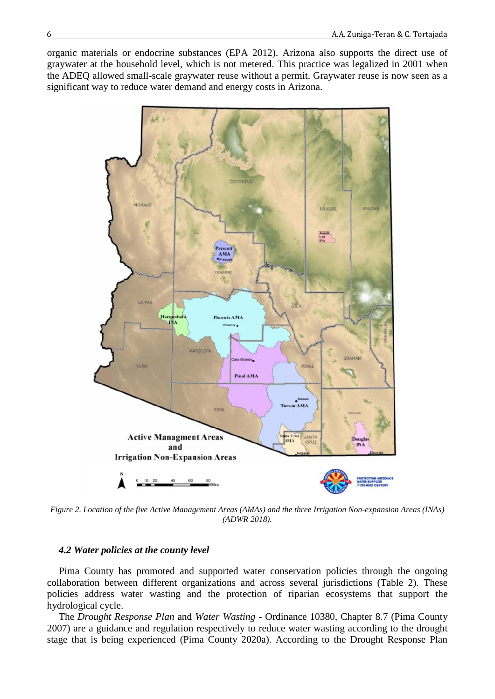organic materials or endocrine substances (EPA 2012). Arizona also supports the direct use of graywater at the household level, which is not metered. This practice was legalized in 2001 when the ADEQ allowed small-scale graywater reuse without a permit. Graywater reuse is now seen as a significant way to reduce water demand and energy costs in Arizona.



*Figure 2. Location of the five Active Management Areas (AMAs) and the three Irrigation Non-expansion Areas (INAs) (ADWR 2018).*

### *4.2 Water policies at the county level*

Pima County has promoted and supported water conservation policies through the ongoing collaboration between different organizations and across several jurisdictions (Table 2). These policies address water wasting and the protection of riparian ecosystems that support the hydrological cycle.

The *Drought Response Plan* and *Water Wasting* - Ordinance 10380, Chapter 8.7 (Pima County 2007) are a guidance and regulation respectively to reduce water wasting according to the drought stage that is being experienced (Pima County 2020a). According to the Drought Response Plan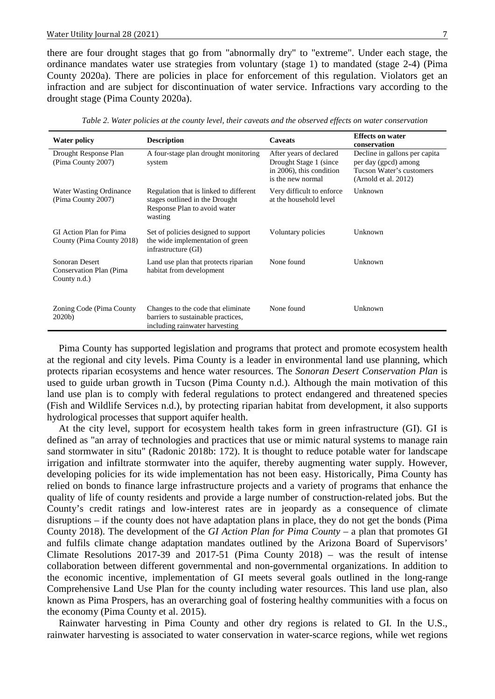there are four drought stages that go from "abnormally dry" to "extreme". Under each stage, the ordinance mandates water use strategies from voluntary (stage 1) to mandated (stage 2-4) (Pima County 2020a). There are policies in place for enforcement of this regulation. Violators get an infraction and are subject for discontinuation of water service. Infractions vary according to the drought stage (Pima County 2020a).

| <b>Water policy</b>                                        | <b>Description</b>                                                                                                  | <b>Caveats</b>                                                                                      | <b>Effects on water</b><br>conservation                                                                   |
|------------------------------------------------------------|---------------------------------------------------------------------------------------------------------------------|-----------------------------------------------------------------------------------------------------|-----------------------------------------------------------------------------------------------------------|
| Drought Response Plan<br>(Pima County 2007)                | A four-stage plan drought monitoring<br>system                                                                      | After years of declared<br>Drought Stage 1 (since)<br>in 2006), this condition<br>is the new normal | Decline in gallons per capita<br>per day (gpcd) among<br>Tucson Water's customers<br>(Arnold et al. 2012) |
| Water Wasting Ordinance<br>(Pima County 2007)              | Regulation that is linked to different<br>stages outlined in the Drought<br>Response Plan to avoid water<br>wasting | Very difficult to enforce<br>at the household level                                                 | Unknown                                                                                                   |
| GI Action Plan for Pima<br>County (Pima County 2018)       | Set of policies designed to support<br>the wide implementation of green<br>infrastructure (GI)                      | Voluntary policies                                                                                  | Unknown                                                                                                   |
| Sonoran Desert<br>Conservation Plan (Pima)<br>County n.d.) | Land use plan that protects riparian<br>habitat from development                                                    | None found                                                                                          | Unknown                                                                                                   |
| Zoning Code (Pima County<br>2020 <sub>b</sub>              | Changes to the code that eliminate<br>barriers to sustainable practices,<br>including rainwater harvesting          | None found                                                                                          | Unknown                                                                                                   |

*Table 2. Water policies at the county level, their caveats and the observed effects on water conservation*

Pima County has supported legislation and programs that protect and promote ecosystem health at the regional and city levels. Pima County is a leader in environmental land use planning, which protects riparian ecosystems and hence water resources. The *Sonoran Desert Conservation Plan* is used to guide urban growth in Tucson (Pima County n.d.). Although the main motivation of this land use plan is to comply with federal regulations to protect endangered and threatened species (Fish and Wildlife Services n.d.), by protecting riparian habitat from development, it also supports hydrological processes that support aquifer health.

At the city level, support for ecosystem health takes form in green infrastructure (GI). GI is defined as "an array of technologies and practices that use or mimic natural systems to manage rain sand stormwater in situ" (Radonic 2018b: 172). It is thought to reduce potable water for landscape irrigation and infiltrate stormwater into the aquifer, thereby augmenting water supply. However, developing policies for its wide implementation has not been easy. Historically, Pima County has relied on bonds to finance large infrastructure projects and a variety of programs that enhance the quality of life of county residents and provide a large number of construction-related jobs. But the County's credit ratings and low-interest rates are in jeopardy as a consequence of climate disruptions – if the county does not have adaptation plans in place, they do not get the bonds (Pima County 2018). The development of the *GI Action Plan for Pima County* – a plan that promotes GI and fulfils climate change adaptation mandates outlined by the Arizona Board of Supervisors' Climate Resolutions 2017-39 and 2017-51 (Pima County 2018) – was the result of intense collaboration between different governmental and non-governmental organizations. In addition to the economic incentive, implementation of GI meets several goals outlined in the long-range Comprehensive Land Use Plan for the county including water resources. This land use plan, also known as Pima Prospers, has an overarching goal of fostering healthy communities with a focus on the economy (Pima County et al. 2015).

Rainwater harvesting in Pima County and other dry regions is related to GI. In the U.S., rainwater harvesting is associated to water conservation in water-scarce regions, while wet regions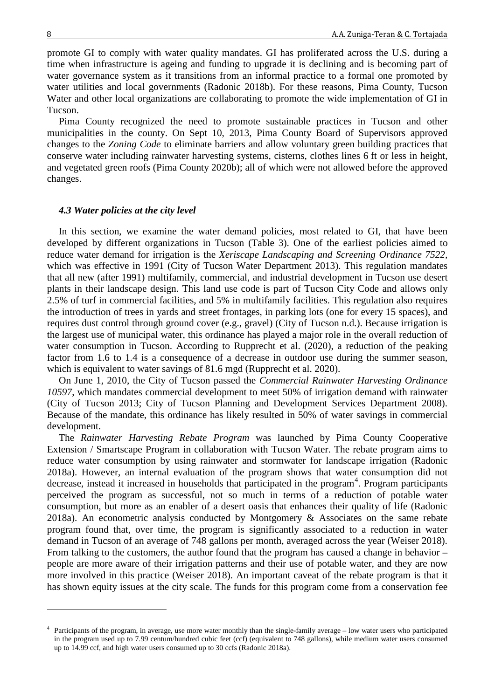<u>.</u>

promote GI to comply with water quality mandates. GI has proliferated across the U.S. during a time when infrastructure is ageing and funding to upgrade it is declining and is becoming part of water governance system as it transitions from an informal practice to a formal one promoted by water utilities and local governments (Radonic 2018b). For these reasons, Pima County, Tucson Water and other local organizations are collaborating to promote the wide implementation of GI in Tucson.

Pima County recognized the need to promote sustainable practices in Tucson and other municipalities in the county. On Sept 10, 2013, Pima County Board of Supervisors approved changes to the *Zoning Code* to eliminate barriers and allow voluntary green building practices that conserve water including rainwater harvesting systems, cisterns, clothes lines 6 ft or less in height, and vegetated green roofs (Pima County 2020b); all of which were not allowed before the approved changes.

### *4.3 Water policies at the city level*

In this section, we examine the water demand policies, most related to GI, that have been developed by different organizations in Tucson (Table 3). One of the earliest policies aimed to reduce water demand for irrigation is the *Xeriscape Landscaping and Screening Ordinance 7522,*  which was effective in 1991 (City of Tucson Water Department 2013). This regulation mandates that all new (after 1991) multifamily, commercial, and industrial development in Tucson use desert plants in their landscape design. This land use code is part of Tucson City Code and allows only 2.5% of turf in commercial facilities, and 5% in multifamily facilities. This regulation also requires the introduction of trees in yards and street frontages, in parking lots (one for every 15 spaces), and requires dust control through ground cover (e.g., gravel) (City of Tucson n.d.). Because irrigation is the largest use of municipal water, this ordinance has played a major role in the overall reduction of water consumption in Tucson. According to Rupprecht et al. (2020), a reduction of the peaking factor from 1.6 to 1.4 is a consequence of a decrease in outdoor use during the summer season, which is equivalent to water savings of 81.6 mgd (Rupprecht et al. 2020).

On June 1, 2010, the City of Tucson passed the *Commercial Rainwater Harvesting Ordinance 10597*, which mandates commercial development to meet 50% of irrigation demand with rainwater (City of Tucson 2013; City of Tucson Planning and Development Services Department 2008). Because of the mandate, this ordinance has likely resulted in 50% of water savings in commercial development.

The *Rainwater Harvesting Rebate Program* was launched by Pima County Cooperative Extension / Smartscape Program in collaboration with Tucson Water. The rebate program aims to reduce water consumption by using rainwater and stormwater for landscape irrigation (Radonic 2018a). However, an internal evaluation of the program shows that water consumption did not decrease, instead it increased in households that participated in the program<sup>[4](#page-7-0)</sup>. Program participants perceived the program as successful, not so much in terms of a reduction of potable water consumption, but more as an enabler of a desert oasis that enhances their quality of life (Radonic 2018a). An econometric analysis conducted by Montgomery & Associates on the same rebate program found that, over time, the program is significantly associated to a reduction in water demand in Tucson of an average of 748 gallons per month, averaged across the year (Weiser 2018). From talking to the customers, the author found that the program has caused a change in behavior – people are more aware of their irrigation patterns and their use of potable water, and they are now more involved in this practice (Weiser 2018). An important caveat of the rebate program is that it has shown equity issues at the city scale. The funds for this program come from a conservation fee

<span id="page-7-0"></span><sup>&</sup>lt;sup>4</sup> Participants of the program, in average, use more water monthly than the single-family average – low water users who participated in the program used up to 7.99 centum/hundred cubic feet (ccf) (equivalent to 748 gallons), while medium water users consumed up to 14.99 ccf, and high water users consumed up to 30 ccfs (Radonic 2018a).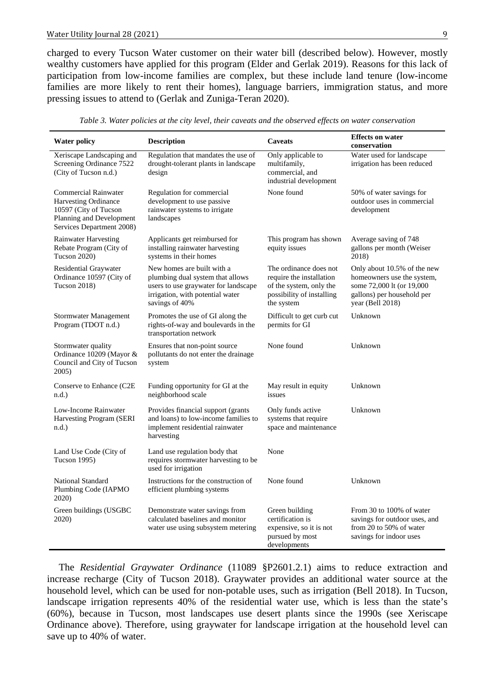charged to every Tucson Water customer on their water bill (described below). However, mostly wealthy customers have applied for this program (Elder and Gerlak 2019). Reasons for this lack of participation from low-income families are complex, but these include land tenure (low-income families are more likely to rent their homes), language barriers, immigration status, and more pressing issues to attend to (Gerlak and Zuniga-Teran 2020).

| <b>Water policy</b>                                                                                                                   | <b>Description</b>                                                                                                                                           | <b>Caveats</b>                                                                                                           | <b>Effects on water</b><br>conservation                                                                                                  |
|---------------------------------------------------------------------------------------------------------------------------------------|--------------------------------------------------------------------------------------------------------------------------------------------------------------|--------------------------------------------------------------------------------------------------------------------------|------------------------------------------------------------------------------------------------------------------------------------------|
| Xeriscape Landscaping and<br>Screening Ordinance 7522<br>(City of Tucson n.d.)                                                        | Regulation that mandates the use of<br>drought-tolerant plants in landscape<br>design                                                                        | Only applicable to<br>multifamily,<br>commercial, and<br>industrial development                                          | Water used for landscape<br>irrigation has been reduced                                                                                  |
| <b>Commercial Rainwater</b><br>Harvesting Ordinance<br>10597 (City of Tucson<br>Planning and Development<br>Services Department 2008) | Regulation for commercial<br>development to use passive<br>rainwater systems to irrigate<br>landscapes                                                       | None found                                                                                                               | 50% of water savings for<br>outdoor uses in commercial<br>development                                                                    |
| <b>Rainwater Harvesting</b><br>Rebate Program (City of<br>Tucson 2020)                                                                | Applicants get reimbursed for<br>installing rainwater harvesting<br>systems in their homes                                                                   | This program has shown<br>equity issues                                                                                  | Average saving of 748<br>gallons per month (Weiser<br>2018)                                                                              |
| <b>Residential Graywater</b><br>Ordinance 10597 (City of<br>Tucson 2018)                                                              | New homes are built with a<br>plumbing dual system that allows<br>users to use graywater for landscape<br>irrigation, with potential water<br>savings of 40% | The ordinance does not<br>require the installation<br>of the system, only the<br>possibility of installing<br>the system | Only about 10.5% of the new<br>homeowners use the system,<br>some 72,000 lt (or 19,000<br>gallons) per household per<br>year (Bell 2018) |
| Stormwater Management<br>Program (TDOT n.d.)                                                                                          | Promotes the use of GI along the<br>rights-of-way and boulevards in the<br>transportation network                                                            | Difficult to get curb cut<br>permits for GI                                                                              | Unknown                                                                                                                                  |
| Stormwater quality<br>Ordinance 10209 (Mayor &<br>Council and City of Tucson<br>2005)                                                 | Ensures that non-point source<br>pollutants do not enter the drainage<br>system                                                                              | None found                                                                                                               | Unknown                                                                                                                                  |
| Conserve to Enhance (C2E)<br>n.d.                                                                                                     | Funding opportunity for GI at the<br>neighborhood scale                                                                                                      | May result in equity<br>issues                                                                                           | Unknown                                                                                                                                  |
| Low-Income Rainwater<br>Harvesting Program (SERI<br>n.d.                                                                              | Provides financial support (grants)<br>and loans) to low-income families to<br>implement residential rainwater<br>harvesting                                 | Only funds active<br>systems that require<br>space and maintenance                                                       | Unknown                                                                                                                                  |
| Land Use Code (City of<br>Tucson 1995)                                                                                                | Land use regulation body that<br>requires stormwater harvesting to be<br>used for irrigation                                                                 | None                                                                                                                     |                                                                                                                                          |
| National Standard<br>Plumbing Code (IAPMO<br>2020)                                                                                    | Instructions for the construction of<br>efficient plumbing systems                                                                                           | None found                                                                                                               | Unknown                                                                                                                                  |
| Green buildings (USGBC<br>2020)                                                                                                       | Demonstrate water savings from<br>calculated baselines and monitor<br>water use using subsystem metering                                                     | Green building<br>certification is<br>expensive, so it is not<br>pursued by most<br>developments                         | From 30 to 100% of water<br>savings for outdoor uses, and<br>from 20 to 50% of water<br>savings for indoor uses                          |

*Table 3. Water policies at the city level, their caveats and the observed effects on water conservation*

The *Residential Graywater Ordinance* (11089 §P2601.2.1) aims to reduce extraction and increase recharge (City of Tucson 2018). Graywater provides an additional water source at the household level, which can be used for non-potable uses, such as irrigation (Bell 2018). In Tucson, landscape irrigation represents 40% of the residential water use, which is less than the state's (60%), because in Tucson, most landscapes use desert plants since the 1990s (see Xeriscape Ordinance above). Therefore, using graywater for landscape irrigation at the household level can save up to 40% of water.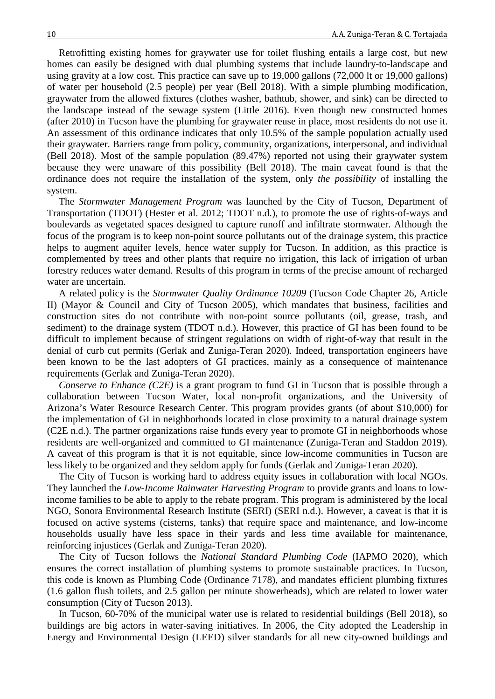Retrofitting existing homes for graywater use for toilet flushing entails a large cost, but new homes can easily be designed with dual plumbing systems that include laundry-to-landscape and using gravity at a low cost. This practice can save up to 19,000 gallons (72,000 lt or 19,000 gallons) of water per household (2.5 people) per year (Bell 2018). With a simple plumbing modification, graywater from the allowed fixtures (clothes washer, bathtub, shower, and sink) can be directed to the landscape instead of the sewage system (Little 2016). Even though new constructed homes (after 2010) in Tucson have the plumbing for graywater reuse in place, most residents do not use it. An assessment of this ordinance indicates that only 10.5% of the sample population actually used their graywater. Barriers range from policy, community, organizations, interpersonal, and individual (Bell 2018). Most of the sample population (89.47%) reported not using their graywater system because they were unaware of this possibility (Bell 2018). The main caveat found is that the ordinance does not require the installation of the system, only *the possibility* of installing the system.

The *Stormwater Management Program* was launched by the City of Tucson, Department of Transportation (TDOT) (Hester et al. 2012; TDOT n.d.), to promote the use of rights-of-ways and boulevards as vegetated spaces designed to capture runoff and infiltrate stormwater. Although the focus of the program is to keep non-point source pollutants out of the drainage system, this practice helps to augment aquifer levels, hence water supply for Tucson. In addition, as this practice is complemented by trees and other plants that require no irrigation, this lack of irrigation of urban forestry reduces water demand. Results of this program in terms of the precise amount of recharged water are uncertain.

A related policy is the *Stormwater Quality Ordinance 10209* (Tucson Code Chapter 26, Article II) (Mayor & Council and City of Tucson 2005), which mandates that business, facilities and construction sites do not contribute with non-point source pollutants (oil, grease, trash, and sediment) to the drainage system (TDOT n.d.). However, this practice of GI has been found to be difficult to implement because of stringent regulations on width of right-of-way that result in the denial of curb cut permits (Gerlak and Zuniga-Teran 2020). Indeed, transportation engineers have been known to be the last adopters of GI practices, mainly as a consequence of maintenance requirements (Gerlak and Zuniga-Teran 2020).

*Conserve to Enhance (C2E)* is a grant program to fund GI in Tucson that is possible through a collaboration between Tucson Water, local non-profit organizations, and the University of Arizona's Water Resource Research Center. This program provides grants (of about \$10,000) for the implementation of GI in neighborhoods located in close proximity to a natural drainage system (C2E n.d.). The partner organizations raise funds every year to promote GI in neighborhoods whose residents are well-organized and committed to GI maintenance (Zuniga-Teran and Staddon 2019). A caveat of this program is that it is not equitable, since low-income communities in Tucson are less likely to be organized and they seldom apply for funds (Gerlak and Zuniga-Teran 2020).

The City of Tucson is working hard to address equity issues in collaboration with local NGOs. They launched the *Low-Income Rainwater Harvesting Program* to provide grants and loans to lowincome families to be able to apply to the rebate program. This program is administered by the local NGO, Sonora Environmental Research Institute (SERI) (SERI n.d.). However, a caveat is that it is focused on active systems (cisterns, tanks) that require space and maintenance, and low-income households usually have less space in their yards and less time available for maintenance, reinforcing injustices (Gerlak and Zuniga-Teran 2020).

The City of Tucson follows the *National Standard Plumbing Code* (IAPMO 2020), which ensures the correct installation of plumbing systems to promote sustainable practices. In Tucson, this code is known as Plumbing Code (Ordinance 7178), and mandates efficient plumbing fixtures (1.6 gallon flush toilets, and 2.5 gallon per minute showerheads), which are related to lower water consumption (City of Tucson 2013).

In Tucson, 60-70% of the municipal water use is related to residential buildings (Bell 2018), so buildings are big actors in water-saving initiatives. In 2006, the City adopted the Leadership in Energy and Environmental Design (LEED) silver standards for all new city-owned buildings and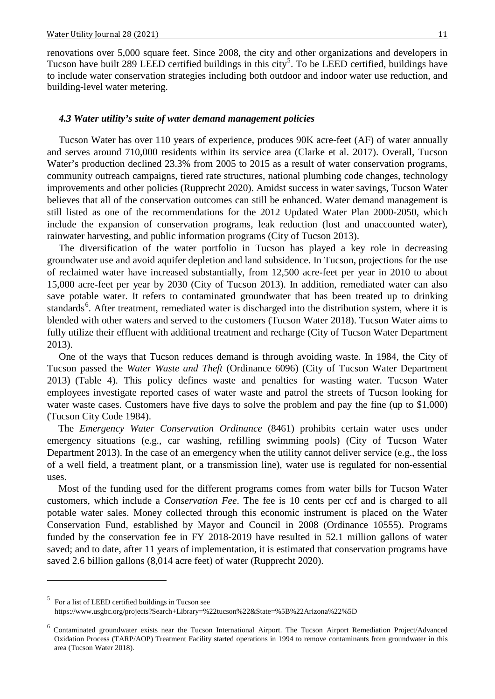renovations over 5,000 square feet. Since 2008, the city and other organizations and developers in Tucson have built 289 LEED certified buildings in this city<sup>[5](#page-10-0)</sup>. To be LEED certified, buildings have to include water conservation strategies including both outdoor and indoor water use reduction, and building-level water metering.

#### *4.3 Water utility's suite of water demand management policies*

Tucson Water has over 110 years of experience, produces 90K acre-feet (AF) of water annually and serves around 710,000 residents within its service area (Clarke et al. 2017). Overall, Tucson Water's production declined 23.3% from 2005 to 2015 as a result of water conservation programs, community outreach campaigns, tiered rate structures, national plumbing code changes, technology improvements and other policies (Rupprecht 2020). Amidst success in water savings, Tucson Water believes that all of the conservation outcomes can still be enhanced. Water demand management is still listed as one of the recommendations for the 2012 Updated Water Plan 2000-2050, which include the expansion of conservation programs, leak reduction (lost and unaccounted water), rainwater harvesting, and public information programs (City of Tucson 2013).

The diversification of the water portfolio in Tucson has played a key role in decreasing groundwater use and avoid aquifer depletion and land subsidence. In Tucson, projections for the use of reclaimed water have increased substantially, from 12,500 acre-feet per year in 2010 to about 15,000 acre-feet per year by 2030 (City of Tucson 2013). In addition, remediated water can also save potable water. It refers to contaminated groundwater that has been treated up to drinking standards<sup>[6](#page-10-1)</sup>. After treatment, remediated water is discharged into the distribution system, where it is blended with other waters and served to the customers (Tucson Water 2018). Tucson Water aims to fully utilize their effluent with additional treatment and recharge (City of Tucson Water Department 2013).

One of the ways that Tucson reduces demand is through avoiding waste. In 1984, the City of Tucson passed the *Water Waste and Theft* (Ordinance 6096) (City of Tucson Water Department 2013) (Table 4). This policy defines waste and penalties for wasting water. Tucson Water employees investigate reported cases of water waste and patrol the streets of Tucson looking for water waste cases. Customers have five days to solve the problem and pay the fine (up to \$1,000) (Tucson City Code 1984).

The *Emergency Water Conservation Ordinance* (8461) prohibits certain water uses under emergency situations (e.g., car washing, refilling swimming pools) (City of Tucson Water Department 2013). In the case of an emergency when the utility cannot deliver service (e.g., the loss of a well field, a treatment plant, or a transmission line), water use is regulated for non-essential uses.

Most of the funding used for the different programs comes from water bills for Tucson Water customers, which include a *Conservation Fee*. The fee is 10 cents per ccf and is charged to all potable water sales. Money collected through this economic instrument is placed on the Water Conservation Fund, established by Mayor and Council in 2008 (Ordinance 10555). Programs funded by the conservation fee in FY 2018-2019 have resulted in 52.1 million gallons of water saved; and to date, after 11 years of implementation, it is estimated that conservation programs have saved 2.6 billion gallons (8,014 acre feet) of water (Rupprecht 2020).

<u>.</u>

<span id="page-10-0"></span><sup>5</sup> For a list of LEED certified buildings in Tucson see

<https://www.usgbc.org/projects?Search+Library=%22tucson%22&State=%5B%22Arizona%22%5D>

<span id="page-10-1"></span><sup>6</sup> Contaminated groundwater exists near the Tucson International Airport. The Tucson Airport Remediation Project/Advanced Oxidation Process (TARP/AOP) Treatment Facility started operations in 1994 to remove contaminants from groundwater in this area (Tucson Water 2018).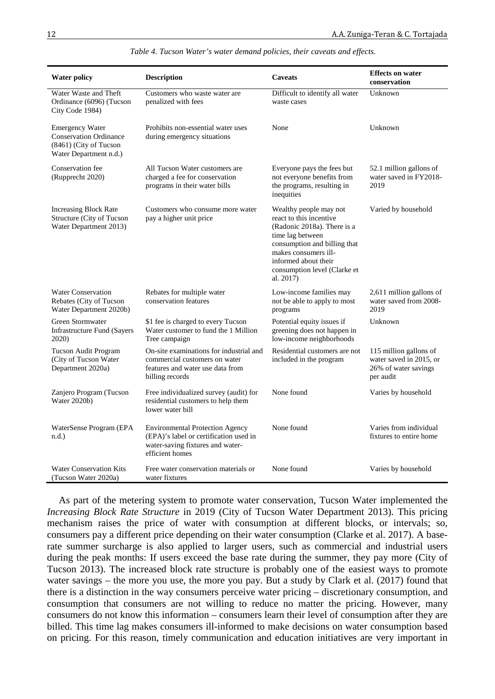| <b>Water policy</b>                                                                                         | <b>Description</b>                                                                                                                      | Caveats                                                                                                                                                                                                                           | <b>Effects on water</b><br>conservation                                                |
|-------------------------------------------------------------------------------------------------------------|-----------------------------------------------------------------------------------------------------------------------------------------|-----------------------------------------------------------------------------------------------------------------------------------------------------------------------------------------------------------------------------------|----------------------------------------------------------------------------------------|
| Water Waste and Theft<br>Ordinance (6096) (Tucson<br>City Code 1984)                                        | Customers who waste water are<br>penalized with fees                                                                                    | Difficult to identify all water<br>waste cases                                                                                                                                                                                    | Unknown                                                                                |
| <b>Emergency Water</b><br><b>Conservation Ordinance</b><br>(8461) (City of Tucson<br>Water Department n.d.) | Prohibits non-essential water uses<br>during emergency situations                                                                       | None                                                                                                                                                                                                                              | Unknown                                                                                |
| Conservation fee<br>(Rupprecht 2020)                                                                        | All Tucson Water customers are<br>charged a fee for conservation<br>programs in their water bills                                       | Everyone pays the fees but<br>not everyone benefits from<br>the programs, resulting in<br>inequities                                                                                                                              | 52.1 million gallons of<br>water saved in FY2018-<br>2019                              |
| Increasing Block Rate<br>Structure (City of Tucson<br>Water Department 2013)                                | Customers who consume more water<br>pay a higher unit price                                                                             | Wealthy people may not<br>react to this incentive<br>(Radonic 2018a). There is a<br>time lag between<br>consumption and billing that<br>makes consumers ill-<br>informed about their<br>consumption level (Clarke et<br>al. 2017) | Varied by household                                                                    |
| <b>Water Conservation</b><br>Rebates (City of Tucson<br>Water Department 2020b)                             | Rebates for multiple water<br>conservation features                                                                                     | Low-income families may<br>not be able to apply to most<br>programs                                                                                                                                                               | 2,611 million gallons of<br>water saved from 2008-<br>2019                             |
| Green Stormwater<br><b>Infrastructure Fund (Sayers</b><br>2020)                                             | \$1 fee is charged to every Tucson<br>Water customer to fund the 1 Million<br>Tree campaign                                             | Potential equity issues if<br>greening does not happen in<br>low-income neighborhoods                                                                                                                                             | Unknown                                                                                |
| <b>Tucson Audit Program</b><br>(City of Tucson Water<br>Department 2020a)                                   | On-site examinations for industrial and<br>commercial customers on water<br>features and water use data from<br>billing records         | Residential customers are not<br>included in the program                                                                                                                                                                          | 115 million gallons of<br>water saved in 2015, or<br>26% of water savings<br>per audit |
| Zanjero Program (Tucson<br>Water 2020b)                                                                     | Free individualized survey (audit) for<br>residential customers to help them<br>lower water bill                                        | None found                                                                                                                                                                                                                        | Varies by household                                                                    |
| WaterSense Program (EPA<br>n.d.                                                                             | <b>Environmental Protection Agency</b><br>(EPA)'s label or certification used in<br>water-saving fixtures and water-<br>efficient homes | None found                                                                                                                                                                                                                        | Varies from individual<br>fixtures to entire home                                      |
| <b>Water Conservation Kits</b><br>(Tucson Water 2020a)                                                      | Free water conservation materials or<br>water fixtures                                                                                  | None found                                                                                                                                                                                                                        | Varies by household                                                                    |

*Table 4. Tucson Water's water demand policies, their caveats and effects.*

As part of the metering system to promote water conservation, Tucson Water implemented the *Increasing Block Rate Structure* in 2019 (City of Tucson Water Department 2013). This pricing mechanism raises the price of water with consumption at different blocks, or intervals; so, consumers pay a different price depending on their water consumption (Clarke et al. 2017). A baserate summer surcharge is also applied to larger users, such as commercial and industrial users during the peak months: If users exceed the base rate during the summer, they pay more (City of Tucson 2013). The increased block rate structure is probably one of the easiest ways to promote water savings – the more you use, the more you pay. But a study by Clark et al. (2017) found that there is a distinction in the way consumers perceive water pricing – discretionary consumption, and consumption that consumers are not willing to reduce no matter the pricing. However, many consumers do not know this information – consumers learn their level of consumption after they are billed. This time lag makes consumers ill-informed to make decisions on water consumption based on pricing. For this reason, timely communication and education initiatives are very important in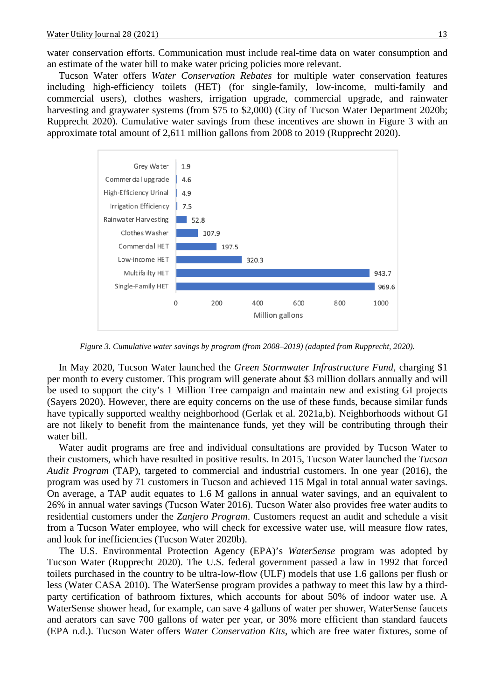Tucson Water offers *Water Conservation Rebates* for multiple water conservation features including high-efficiency toilets (HET) (for single-family, low-income, multi-family and commercial users), clothes washers, irrigation upgrade, commercial upgrade, and rainwater harvesting and graywater systems (from \$75 to \$2,000) (City of Tucson Water Department 2020b; Rupprecht 2020). Cumulative water savings from these incentives are shown in Figure 3 with an approximate total amount of 2,611 million gallons from 2008 to 2019 (Rupprecht 2020).



*Figure 3. Cumulative water savings by program (from 2008–2019) (adapted from Rupprecht, 2020).*

In May 2020, Tucson Water launched the *Green Stormwater Infrastructure Fund*, charging \$1 per month to every customer. This program will generate about \$3 million dollars annually and will be used to support the city's 1 Million Tree campaign and maintain new and existing GI projects (Sayers 2020). However, there are equity concerns on the use of these funds, because similar funds have typically supported wealthy neighborhood (Gerlak et al. 2021a,b). Neighborhoods without GI are not likely to benefit from the maintenance funds, yet they will be contributing through their water bill.

Water audit programs are free and individual consultations are provided by Tucson Water to their customers, which have resulted in positive results. In 2015, Tucson Water launched the *Tucson Audit Program* (TAP), targeted to commercial and industrial customers. In one year (2016), the program was used by 71 customers in Tucson and achieved 115 Mgal in total annual water savings. On average, a TAP audit equates to 1.6 M gallons in annual water savings, and an equivalent to 26% in annual water savings (Tucson Water 2016). Tucson Water also provides free water audits to residential customers under the *Zanjero Program*. Customers request an audit and schedule a visit from a Tucson Water employee, who will check for excessive water use, will measure flow rates, and look for inefficiencies (Tucson Water 2020b).

The U.S. Environmental Protection Agency (EPA)'s *WaterSense* program was adopted by Tucson Water (Rupprecht 2020). The U.S. federal government passed a law in 1992 that forced toilets purchased in the country to be ultra-low-flow (ULF) models that use 1.6 gallons per flush or less (Water CASA 2010). The WaterSense program provides a pathway to meet this law by a thirdparty certification of bathroom fixtures, which accounts for about 50% of indoor water use. A WaterSense shower head, for example, can save 4 gallons of water per shower, WaterSense faucets and aerators can save 700 gallons of water per year, or 30% more efficient than standard faucets (EPA n.d.). Tucson Water offers *Water Conservation Kits*, which are free water fixtures, some of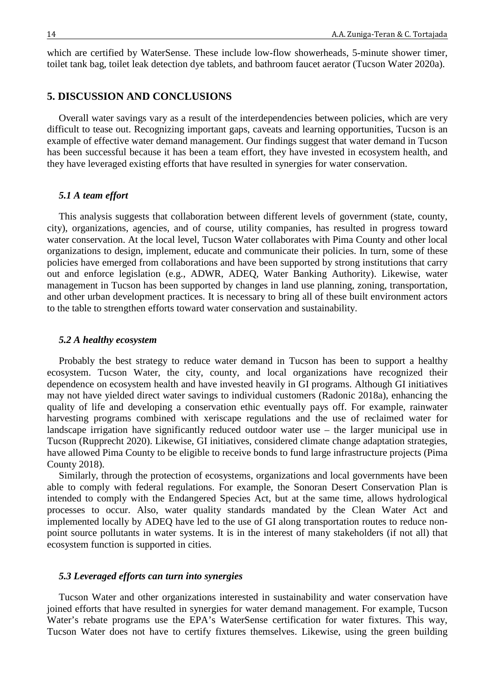which are certified by WaterSense. These include low-flow showerheads, 5-minute shower timer, toilet tank bag, toilet leak detection dye tablets, and bathroom faucet aerator (Tucson Water 2020a).

# **5. DISCUSSION AND CONCLUSIONS**

Overall water savings vary as a result of the interdependencies between policies, which are very difficult to tease out. Recognizing important gaps, caveats and learning opportunities, Tucson is an example of effective water demand management. Our findings suggest that water demand in Tucson has been successful because it has been a team effort, they have invested in ecosystem health, and they have leveraged existing efforts that have resulted in synergies for water conservation.

#### *5.1 A team effort*

This analysis suggests that collaboration between different levels of government (state, county, city), organizations, agencies, and of course, utility companies, has resulted in progress toward water conservation. At the local level, Tucson Water collaborates with Pima County and other local organizations to design, implement, educate and communicate their policies. In turn, some of these policies have emerged from collaborations and have been supported by strong institutions that carry out and enforce legislation (e.g., ADWR, ADEQ, Water Banking Authority). Likewise, water management in Tucson has been supported by changes in land use planning, zoning, transportation, and other urban development practices. It is necessary to bring all of these built environment actors to the table to strengthen efforts toward water conservation and sustainability.

#### *5.2 A healthy ecosystem*

Probably the best strategy to reduce water demand in Tucson has been to support a healthy ecosystem. Tucson Water, the city, county, and local organizations have recognized their dependence on ecosystem health and have invested heavily in GI programs. Although GI initiatives may not have yielded direct water savings to individual customers (Radonic 2018a), enhancing the quality of life and developing a conservation ethic eventually pays off. For example, rainwater harvesting programs combined with xeriscape regulations and the use of reclaimed water for landscape irrigation have significantly reduced outdoor water use – the larger municipal use in Tucson (Rupprecht 2020). Likewise, GI initiatives, considered climate change adaptation strategies, have allowed Pima County to be eligible to receive bonds to fund large infrastructure projects (Pima County 2018).

Similarly, through the protection of ecosystems, organizations and local governments have been able to comply with federal regulations. For example, the Sonoran Desert Conservation Plan is intended to comply with the Endangered Species Act, but at the same time, allows hydrological processes to occur. Also, water quality standards mandated by the Clean Water Act and implemented locally by ADEQ have led to the use of GI along transportation routes to reduce nonpoint source pollutants in water systems. It is in the interest of many stakeholders (if not all) that ecosystem function is supported in cities.

# *5.3 Leveraged efforts can turn into synergies*

Tucson Water and other organizations interested in sustainability and water conservation have joined efforts that have resulted in synergies for water demand management. For example, Tucson Water's rebate programs use the EPA's WaterSense certification for water fixtures. This way, Tucson Water does not have to certify fixtures themselves. Likewise, using the green building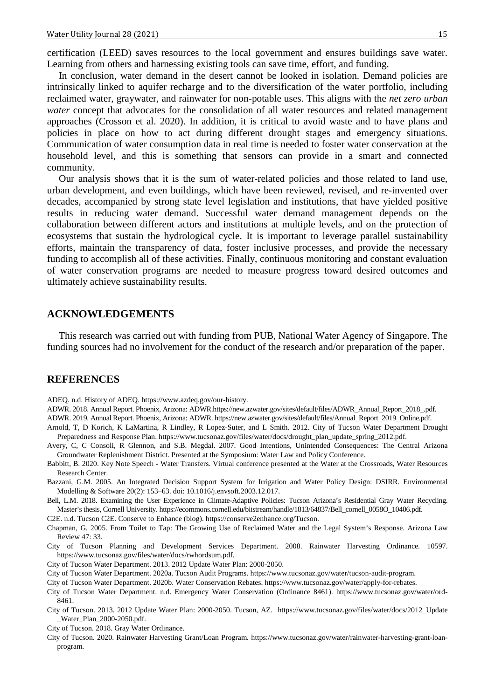certification (LEED) saves resources to the local government and ensures buildings save water. Learning from others and harnessing existing tools can save time, effort, and funding.

In conclusion, water demand in the desert cannot be looked in isolation. Demand policies are intrinsically linked to aquifer recharge and to the diversification of the water portfolio, including reclaimed water, graywater, and rainwater for non-potable uses. This aligns with the *net zero urban water* concept that advocates for the consolidation of all water resources and related management approaches (Crosson et al. 2020). In addition, it is critical to avoid waste and to have plans and policies in place on how to act during different drought stages and emergency situations. Communication of water consumption data in real time is needed to foster water conservation at the household level, and this is something that sensors can provide in a smart and connected community.

Our analysis shows that it is the sum of water-related policies and those related to land use, urban development, and even buildings, which have been reviewed, revised, and re-invented over decades, accompanied by strong state level legislation and institutions, that have yielded positive results in reducing water demand. Successful water demand management depends on the collaboration between different actors and institutions at multiple levels, and on the protection of ecosystems that sustain the hydrological cycle. It is important to leverage parallel sustainability efforts, maintain the transparency of data, foster inclusive processes, and provide the necessary funding to accomplish all of these activities. Finally, continuous monitoring and constant evaluation of water conservation programs are needed to measure progress toward desired outcomes and ultimately achieve sustainability results.

# **ACKNOWLEDGEMENTS**

This research was carried out with funding from PUB, National Water Agency of Singapore. The funding sources had no involvement for the conduct of the research and/or preparation of the paper.

# **REFERENCES**

ADEQ. n.d. History of ADEQ. https://www.azdeq.gov/our-history.

ADWR. 2018. Annual Report. Phoenix, Arizona: ADWR.https://new.azwater.gov/sites/default/files/ADWR\_Annual\_Report\_2018\_.pdf.

ADWR. 2019. Annual Report. Phoenix, Arizona: ADWR. https://new.azwater.gov/sites/default/files/Annual\_Report\_2019\_Online.pdf.

- Arnold, T, D Korich, K LaMartina, R Lindley, R Lopez-Suter, and L Smith. 2012. City of Tucson Water Department Drought Preparedness and Response Plan. https://www.tucsonaz.gov/files/water/docs/drought\_plan\_update\_spring\_2012.pdf.
- Avery, C, C Consoli, R Glennon, and S.B. Megdal. 2007. Good Intentions, Unintended Consequences: The Central Arizona Groundwater Replenishment District. Presented at the Symposium: Water Law and Policy Conference.
- Babbitt, B. 2020. Key Note Speech Water Transfers. Virtual conference presented at the Water at the Crossroads, Water Resources Research Center.
- Bazzani, G.M. 2005. An Integrated Decision Support System for Irrigation and Water Policy Design: DSIRR. Environmental Modelling & Software 20(2): 153–63. doi: 10.1016/j.envsoft.2003.12.017.
- Bell, L.M. 2018. Examining the User Experience in Climate-Adaptive Policies: Tucson Arizona's Residential Gray Water Recycling. Master's thesis, Cornell University. https://ecommons.cornell.edu/bitstream/handle/1813/64837/Bell\_cornell\_0058O\_10406.pdf.
- C2E. n.d. Tucson C2E. Conserve to Enhance (blog). https://conserve2enhance.org/Tucson.
- Chapman, G. 2005. From Toilet to Tap: The Growing Use of Reclaimed Water and the Legal System's Response. Arizona Law Review 47: 33.
- City of Tucson Planning and Development Services Department. 2008. Rainwater Harvesting Ordinance. 10597. https://www.tucsonaz.gov/files/water/docs/rwhordsum.pdf.
- City of Tucson Water Department. 2013. 2012 Update Water Plan: 2000-2050.
- City of Tucson Water Department. 2020a. Tucson Audit Programs. https://www.tucsonaz.gov/water/tucson-audit-program.
- City of Tucson Water Department. 2020b. Water Conservation Rebates. https://www.tucsonaz.gov/water/apply-for-rebates.
- City of Tucson Water Department. n.d. Emergency Water Conservation (Ordinance 8461). https://www.tucsonaz.gov/water/ord-8461.
- City of Tucson. 2013. 2012 Update Water Plan: 2000-2050. Tucson, AZ. https://www.tucsonaz.gov/files/water/docs/2012\_Update \_Water\_Plan\_2000-2050.pdf.
- City of Tucson. 2018. Gray Water Ordinance.
- City of Tucson. 2020. Rainwater Harvesting Grant/Loan Program. https://www.tucsonaz.gov/water/rainwater-harvesting-grant-loanprogram.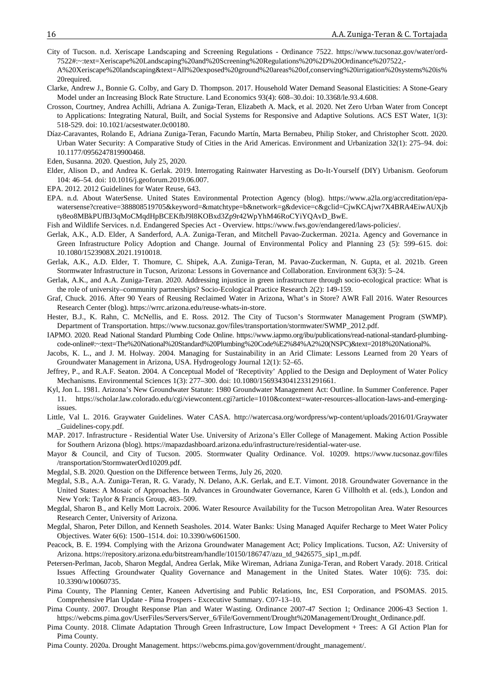- City of Tucson. n.d. Xeriscape Landscaping and Screening Regulations Ordinance 7522. https://www.tucsonaz.gov/water/ord-7522#:~:text=Xeriscape%20Landscaping%20and%20Screening%20Regulations%20%2D%20Ordinance%207522,-
- A%20Xeriscape%20landscaping&text=All%20exposed%20ground%20areas%20of,conserving%20irrigation%20systems%20is% 20required.
- Clarke, Andrew J., Bonnie G. Colby, and Gary D. Thompson. 2017. Household Water Demand Seasonal Elasticities: A Stone-Geary Model under an Increasing Block Rate Structure. Land Economics 93(4): 608–30.doi: 10.3368/le.93.4.608.
- Crosson, Courtney, Andrea Achilli, Adriana A. Zuniga-Teran, Elizabeth A. Mack, et al. 2020. Net Zero Urban Water from Concept to Applications: Integrating Natural, Built, and Social Systems for Responsive and Adaptive Solutions. ACS EST Water, 1(3): 518-529. doi: 10.1021/acsestwater.0c00180.
- Díaz-Caravantes, Rolando E, Adriana Zuniga-Teran, Facundo Martín, Marta Bernabeu, Philip Stoker, and Christopher Scott. 2020. Urban Water Security: A Comparative Study of Cities in the Arid Americas. Environment and Urbanization 32(1): 275–94. doi: 10.1177/0956247819900468.

Eden, Susanna. 2020. Question, July 25, 2020.

- Elder, Alison D., and Andrea K. Gerlak. 2019. Interrogating Rainwater Harvesting as Do-It-Yourself (DIY) Urbanism. Geoforum 104: 46–54. doi: 10.1016/j.geoforum.2019.06.007.
- EPA. 2012. 2012 Guidelines for Water Reuse, 643.
- EPA. n.d. About WaterSense. United States Environmental Protection Agency (blog). https://www.a2la.org/accreditation/epawatersense?creative=388808519705&keyword=&matchtype=b&network=g&device=c&gclid=CjwKCAjwr7X4BRA4EiwAUXjb ty8eo8MBkPUfBJ3qMoCMqdHpBCEKfbJ9l8KOBxd3Zp9r42WpYhM46RoCYiYQAvD\_BwE.
- Fish and Wildlife Services. n.d. Endangered Species Act Overview. https://www.fws.gov/endangered/laws-policies/.
- Gerlak, A.K., A.D. Elder, A Sanderford, A.A. Zuniga-Teran, and Mitchell Pavao-Zuckerman. 2021a. Agency and Governance in Green Infrastructure Policy Adoption and Change. Journal of Environmental Policy and Planning 23 (5): 599–615. doi: 10.1080/1523908X.2021.1910018.
- Gerlak, A.K., A.D. Elder, T. Thomure, C. Shipek, A.A. Zuniga-Teran, M. Pavao-Zuckerman, N. Gupta, et al. 2021b. Green Stormwater Infrastructure in Tucson, Arizona: Lessons in Governance and Collaboration. Environment 63(3): 5–24.
- Gerlak, A.K., and A.A. Zuniga-Teran. 2020. Addressing injustice in green infrastructure through socio-ecological practice: What is the role of university–community partnerships? Socio-Ecological Practice Research 2(2): 149-159.
- Graf, Chuck. 2016. After 90 Years of Reusing Reclaimed Water in Arizona, What's in Store? AWR Fall 2016. Water Resources Research Center (blog). https://wrrc.arizona.edu/reuse-whats-in-store.
- Hester, B.J., K. Rahn, C. McNellis, and E. Ross. 2012. The City of Tucson's Stormwater Management Program (SWMP). Department of Transportation. https://www.tucsonaz.gov/files/transportation/stormwater/SWMP\_2012.pdf.
- IAPMO. 2020. Read National Standard Plumbing Code Online. https://www.iapmo.org/ibu/publications/read-national-standard-plumbingcode-online#:~:text=The%20National%20Standard%20Plumbing%20Code%E2%84%A2%20(NSPC)&text=2018%20National%.
- Jacobs, K. L., and J. M. Holway. 2004. Managing for Sustainability in an Arid Climate: Lessons Learned from 20 Years of Groundwater Management in Arizona, USA. Hydrogeology Journal 12(1): 52–65.
- Jeffrey, P., and R.A.F. Seaton. 2004. A Conceptual Model of 'Receptivity' Applied to the Design and Deployment of Water Policy Mechanisms. Environmental Sciences 1(3): 277–300. doi: 10.1080/15693430412331291661.
- Kyl, Jon L. 1981. Arizona's New Groundwater Statute: 1980 Groundwater Management Act: Outline. In Summer Conference. Paper 11. https://scholar.law.colorado.edu/cgi/viewcontent.cgi?article=1010&context=water-resources-allocation-laws-and-emergingissues.
- Little, Val L. 2016. Graywater Guidelines. Water CASA. http://watercasa.org/wordpress/wp-content/uploads/2016/01/Graywater \_Guidelines-copy.pdf.
- MAP. 2017. Infrastructure Residential Water Use. University of Arizona's Eller College of Management. Making Action Possible for Southern Arizona (blog). https://mapazdashboard.arizona.edu/infrastructure/residential-water-use.
- Mayor & Council, and City of Tucson. 2005. Stormwater Quality Ordinance. Vol. 10209. https://www.tucsonaz.gov/files /transportation/StormwaterOrd10209.pdf.
- Megdal, S.B. 2020. Question on the Difference between Terms, July 26, 2020.
- Megdal, S.B., A.A. Zuniga-Teran, R. G. Varady, N. Delano, A.K. Gerlak, and E.T. Vimont. 2018. Groundwater Governance in the United States: A Mosaic of Approaches. In Advances in Groundwater Governance, Karen G Villholth et al. (eds.), London and New York: Taylor & Francis Group, 483–509.
- Megdal, Sharon B., and Kelly Mott Lacroix. 2006. Water Resource Availability for the Tucson Metropolitan Area. Water Resources Research Center, University of Arizona.
- Megdal, Sharon, Peter Dillon, and Kenneth Seasholes. 2014. Water Banks: Using Managed Aquifer Recharge to Meet Water Policy Objectives. Water 6(6): 1500–1514. doi: 10.3390/w6061500.
- Peacock, B. E. 1994. Complying with the Arizona Groundwater Management Act; Policy Implications. Tucson, AZ: University of Arizona. https://repository.arizona.edu/bitstream/handle/10150/186747/azu\_td\_9426575\_sip1\_m.pdf.
- Petersen-Perlman, Jacob, Sharon Megdal, Andrea Gerlak, Mike Wireman, Adriana Zuniga-Teran, and Robert Varady. 2018. Critical Issues Affecting Groundwater Quality Governance and Management in the United States. Water 10(6): 735. doi: 10.3390/w10060735.
- Pima County, The Planning Center, Kaneen Advertising and Public Relations, Inc, ESI Corporation, and PSOMAS. 2015. Comprehensive Plan Update - Pima Prospers - Excecutive Summary. C07-13–10.
- Pima County. 2007. Drought Response Plan and Water Wasting. Ordinance 2007-47 Section 1; Ordinance 2006-43 Section 1. https://webcms.pima.gov/UserFiles/Servers/Server\_6/File/Government/Drought%20Management/Drought\_Ordinance.pdf.
- Pima County. 2018. Climate Adaptation Through Green Infrastructure, Low Impact Development + Trees: A GI Action Plan for Pima County.
- Pima County. 2020a. Drought Management. https://webcms.pima.gov/government/drought\_management/.